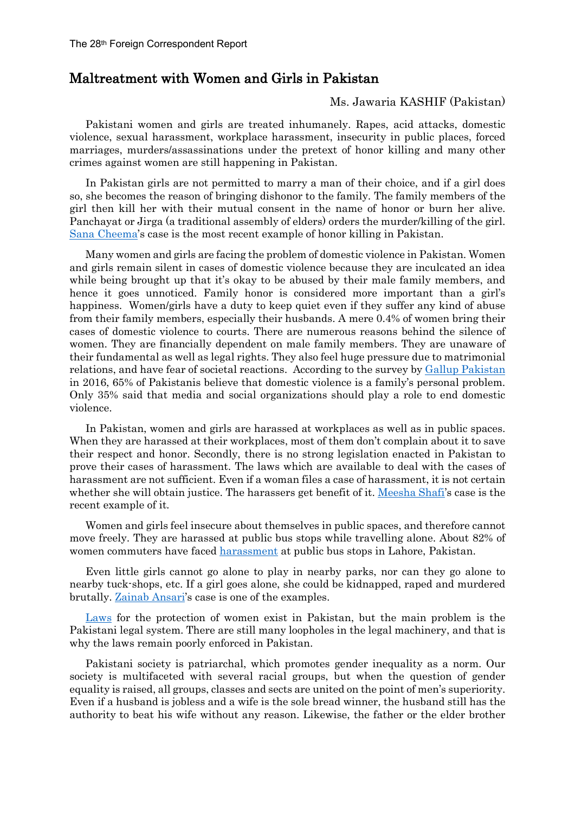## Maltreatment with Women and Girls in Pakistan

## Ms. Jawaria KASHIF (Pakistan)

Pakistani women and girls are treated inhumanely. Rapes, acid attacks, domestic violence, sexual harassment, workplace harassment, insecurity in public places, forced marriages, murders/assassinations under the pretext of honor killing and many other crimes against women are still happening in Pakistan.

In Pakistan girls are not permitted to marry a man of their choice, and if a girl does so, she becomes the reason of bringing dishonor to the family. The family members of the girl then kill her with their mutual consent in the name of honor or burn her alive. Panchayat or Jirga (a traditional assembly of elders) orders the murder/killing of the girl. [Sana Cheema's](https://www.pakistantoday.com.pk/2018/05/14/fia-arrests-two-accused-in-sana-cheema-murder-case/) case is the most recent example of honor killing in Pakistan.

Many women and girls are facing the problem of domestic violence in Pakistan. Women and girls remain silent in cases of domestic violence because they are inculcated an idea while being brought up that it's okay to be abused by their male family members, and hence it goes unnoticed. Family honor is considered more important than a girl's happiness. Women/girls have a duty to keep quiet even if they suffer any kind of abuse from their family members, especially their husbands. A mere 0.4% of women bring their cases of domestic violence to courts. There are numerous reasons behind the silence of women. They are financially dependent on male family members. They are unaware of their fundamental as well as legal rights. They also feel huge pressure due to matrimonial relations, and have fear of societal reactions. According to the survey by [Gallup Pakistan](http://gallup.com.pk/domestic-violence-in-pakistan-in-11-years-5-increase-in-the-proportion-of-pakistanis-who-believe-media-and-social-organizations-should-play-a-role-65-continue-to-believe-it-is-familys-own/) in 2016, 65% of Pakistanis believe that domestic violence is a family's personal problem. Only 35% said that media and social organizations should play a role to end domestic violence.

In Pakistan, women and girls are harassed at workplaces as well as in public spaces. When they are harassed at their workplaces, most of them don't complain about it to save their respect and honor. Secondly, there is no strong legislation enacted in Pakistan to prove their cases of harassment. The laws which are available to deal with the cases of harassment are not sufficient. Even if a woman files a case of harassment, it is not certain whether she will obtain justice. The harassers get benefit of it. [Meesha](http://www.bbc.com/news/world-asia-43836364) Shafi's case is the recent example of it.

Women and girls feel insecure about themselves in public spaces, and therefore cannot move freely. They are harassed at public bus stops while travelling alone. About 82% of women commuters have faced [harassment](http://learnpak.com.pk/harassment-and-insecurity-on-public-places-and-bus-stops-javeria-kashif/) at public bus stops in Lahore, Pakistan.

Even little girls cannot go alone to play in nearby parks, nor can they go alone to nearby tuck-shops, etc. If a girl goes alone, she could be kidnapped, raped and murdered brutally. [Zainab Ansari's](https://en.wikipedia.org/wiki/Murder_of_Zainab_Ansari) case is one of the examples.

[Laws](http://www.whiteribbon.org.pk/laws-remedies/) for the protection of women exist in Pakistan, but the main problem is the Pakistani legal system. There are still many loopholes in the legal machinery, and that is why the laws remain poorly enforced in Pakistan.

Pakistani society is patriarchal, which promotes gender inequality as a norm. Our society is multifaceted with several racial groups, but when the question of gender equality is raised, all groups, classes and sects are united on the point of men's superiority. Even if a husband is jobless and a wife is the sole bread winner, the husband still has the authority to beat his wife without any reason. Likewise, the father or the elder brother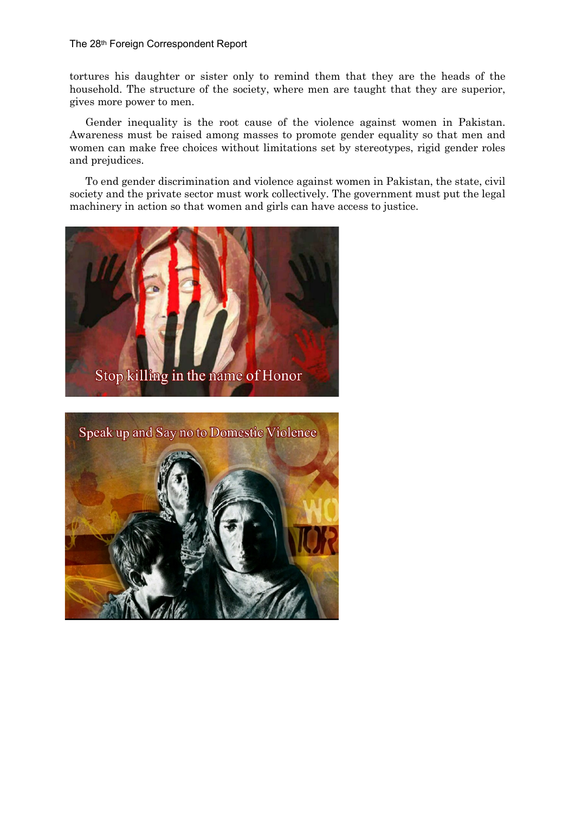## The 28th Foreign Correspondent Report

tortures his daughter or sister only to remind them that they are the heads of the household. The structure of the society, where men are taught that they are superior, gives more power to men.

Gender inequality is the root cause of the violence against women in Pakistan. Awareness must be raised among masses to promote gender equality so that men and women can make free choices without limitations set by stereotypes, rigid gender roles and prejudices.

To end gender discrimination and violence against women in Pakistan, the state, civil society and the private sector must work collectively. The government must put the legal machinery in action so that women and girls can have access to justice.